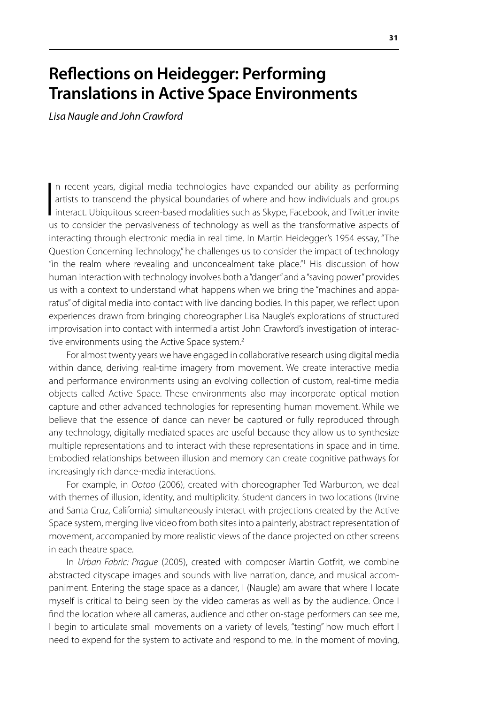## **Reflections on Heidegger: Performing Translations in Active Space Environments**

*Lisa Naugle and John Crawford*

 $\begin{array}{c} \hline \end{array}$ n recent years, digital media technologies have expanded our ability as performing artists to transcend the physical boundaries of where and how individuals and groups interact. Ubiquitous screen-based modalities such as Skype, Facebook, and Twitter invite us to consider the pervasiveness of technology as well as the transformative aspects of interacting through electronic media in real time. In Martin Heidegger's 1954 essay, "The Question Concerning Technology," he challenges us to consider the impact of technology "in the realm where revealing and unconcealment take place."1 His discussion of how human interaction with technology involves both a "danger" and a "saving power" provides us with a context to understand what happens when we bring the "machines and apparatus" of digital media into contact with live dancing bodies. In this paper, we reflect upon experiences drawn from bringing choreographer Lisa Naugle's explorations of structured improvisation into contact with intermedia artist John Crawford's investigation of interactive environments using the Active Space system.<sup>2</sup>

For almost twenty years we have engaged in collaborative research using digital media within dance, deriving real-time imagery from movement. We create interactive media and performance environments using an evolving collection of custom, real-time media objects called Active Space. These environments also may incorporate optical motion capture and other advanced technologies for representing human movement. While we believe that the essence of dance can never be captured or fully reproduced through any technology, digitally mediated spaces are useful because they allow us to synthesize multiple representations and to interact with these representations in space and in time. Embodied relationships between illusion and memory can create cognitive pathways for increasingly rich dance-media interactions.

For example, in *Ootoo* (2006), created with choreographer Ted Warburton, we deal with themes of illusion, identity, and multiplicity. Student dancers in two locations (Irvine and Santa Cruz, California) simultaneously interact with projections created by the Active Space system, merging live video from both sites into a painterly, abstract representation of movement, accompanied by more realistic views of the dance projected on other screens in each theatre space.

In *Urban Fabric: Prague* (2005), created with composer Martin Gotfrit, we combine abstracted cityscape images and sounds with live narration, dance, and musical accompaniment. Entering the stage space as a dancer, I (Naugle) am aware that where I locate myself is critical to being seen by the video cameras as well as by the audience. Once I find the location where all cameras, audience and other on-stage performers can see me, I begin to articulate small movements on a variety of levels, "testing" how much effort I need to expend for the system to activate and respond to me. In the moment of moving,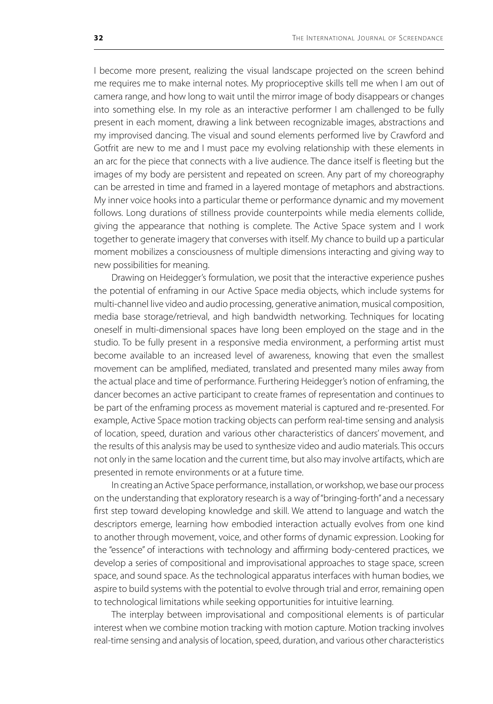I become more present, realizing the visual landscape projected on the screen behind me requires me to make internal notes. My proprioceptive skills tell me when I am out of camera range, and how long to wait until the mirror image of body disappears or changes into something else. In my role as an interactive performer I am challenged to be fully present in each moment, drawing a link between recognizable images, abstractions and my improvised dancing. The visual and sound elements performed live by Crawford and Gotfrit are new to me and I must pace my evolving relationship with these elements in an arc for the piece that connects with a live audience. The dance itself is fleeting but the images of my body are persistent and repeated on screen. Any part of my choreography can be arrested in time and framed in a layered montage of metaphors and abstractions. My inner voice hooks into a particular theme or performance dynamic and my movement follows. Long durations of stillness provide counterpoints while media elements collide, giving the appearance that nothing is complete. The Active Space system and I work together to generate imagery that converses with itself. My chance to build up a particular moment mobilizes a consciousness of multiple dimensions interacting and giving way to new possibilities for meaning.

Drawing on Heidegger's formulation, we posit that the interactive experience pushes the potential of enframing in our Active Space media objects, which include systems for multi-channel live video and audio processing, generative animation, musical composition, media base storage/retrieval, and high bandwidth networking. Techniques for locating oneself in multi-dimensional spaces have long been employed on the stage and in the studio. To be fully present in a responsive media environment, a performing artist must become available to an increased level of awareness, knowing that even the smallest movement can be amplified, mediated, translated and presented many miles away from the actual place and time of performance. Furthering Heidegger's notion of enframing, the dancer becomes an active participant to create frames of representation and continues to be part of the enframing process as movement material is captured and re-presented. For example, Active Space motion tracking objects can perform real-time sensing and analysis of location, speed, duration and various other characteristics of dancers' movement, and the results of this analysis may be used to synthesize video and audio materials. This occurs not only in the same location and the current time, but also may involve artifacts, which are presented in remote environments or at a future time.

In creating an Active Space performance, installation, or workshop, we base our process on the understanding that exploratory research is a way of "bringing-forth" and a necessary first step toward developing knowledge and skill. We attend to language and watch the descriptors emerge, learning how embodied interaction actually evolves from one kind to another through movement, voice, and other forms of dynamic expression. Looking for the "essence" of interactions with technology and affirming body-centered practices, we develop a series of compositional and improvisational approaches to stage space, screen space, and sound space. As the technological apparatus interfaces with human bodies, we aspire to build systems with the potential to evolve through trial and error, remaining open to technological limitations while seeking opportunities for intuitive learning.

The interplay between improvisational and compositional elements is of particular interest when we combine motion tracking with motion capture. Motion tracking involves real-time sensing and analysis of location, speed, duration, and various other characteristics